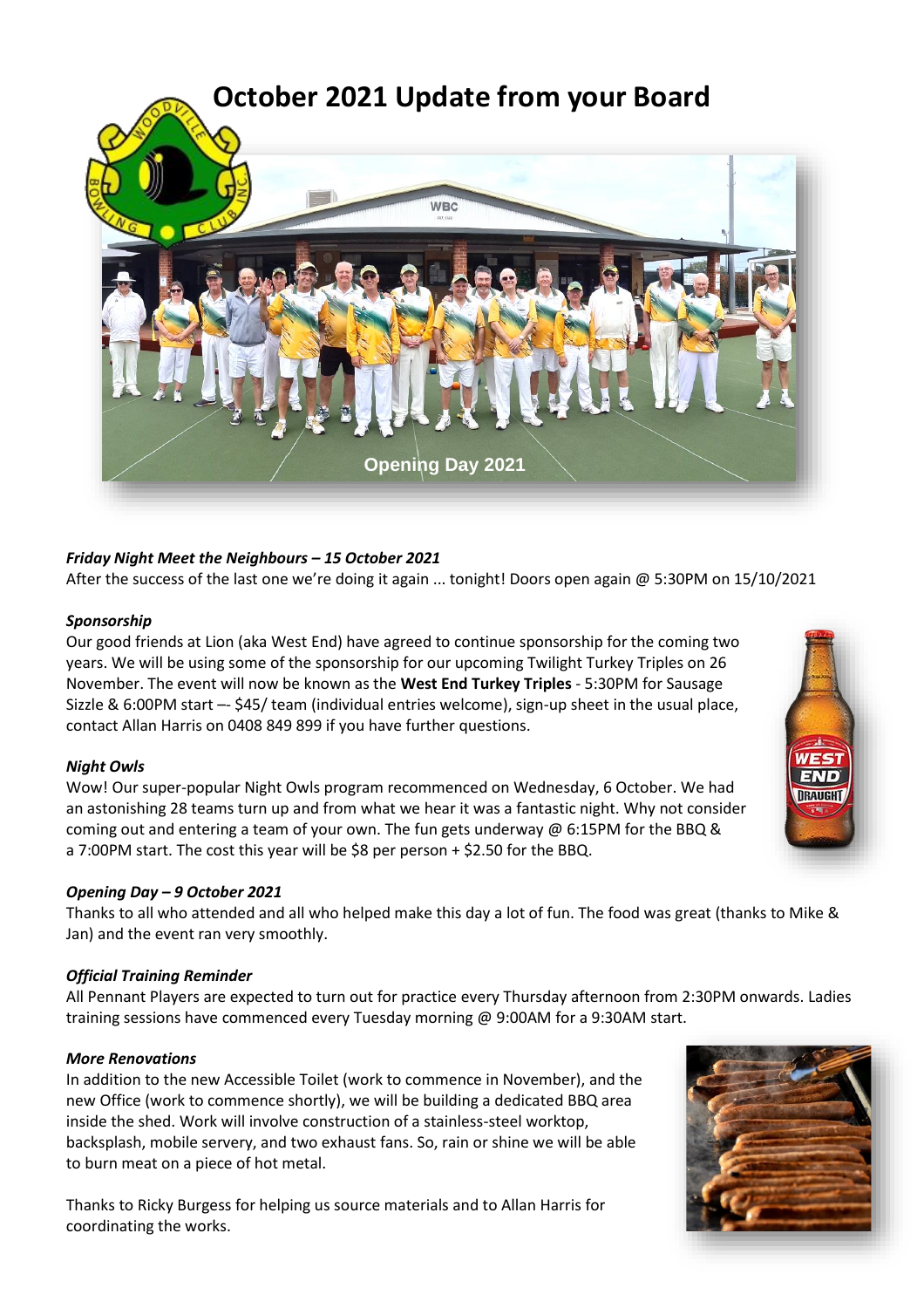

# *Friday Night Meet the Neighbours – 15 October 2021*

After the success of the last one we're doing it again ... tonight! Doors open again @ 5:30PM on 15/10/2021

## *Sponsorship*

Our good friends at Lion (aka West End) have agreed to continue sponsorship for the coming two years. We will be using some of the sponsorship for our upcoming Twilight Turkey Triples on 26 November. The event will now be known as the **West End Turkey Triples** - 5:30PM for Sausage Sizzle & 6:00PM start –- \$45/ team (individual entries welcome), sign-up sheet in the usual place, contact Allan Harris on 0408 849 899 if you have further questions.

## *Night Owls*

Wow! Our super-popular Night Owls program recommenced on Wednesday, 6 October. We had an astonishing 28 teams turn up and from what we hear it was a fantastic night. Why not consider coming out and entering a team of your own. The fun gets underway @ 6:15PM for the BBQ & a 7:00PM start. The cost this year will be \$8 per person + \$2.50 for the BBQ.

## *Opening Day – 9 October 2021*

Thanks to all who attended and all who helped make this day a lot of fun. The food was great (thanks to Mike & Jan) and the event ran very smoothly.

## *Official Training Reminder*

All Pennant Players are expected to turn out for practice every Thursday afternoon from 2:30PM onwards. Ladies training sessions have commenced every Tuesday morning @ 9:00AM for a 9:30AM start.

## *More Renovations*

In addition to the new Accessible Toilet (work to commence in November), and the new Office (work to commence shortly), we will be building a dedicated BBQ area inside the shed. Work will involve construction of a stainless-steel worktop, backsplash, mobile servery, and two exhaust fans. So, rain or shine we will be able to burn meat on a piece of hot metal.

Thanks to Ricky Burgess for helping us source materials and to Allan Harris for coordinating the works.